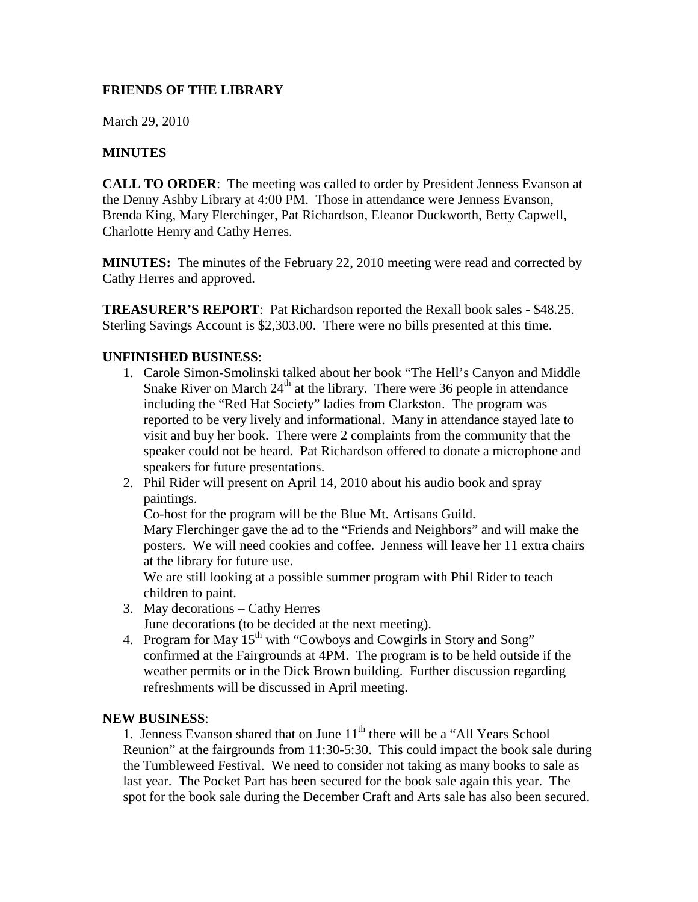## **FRIENDS OF THE LIBRARY**

March 29, 2010

## **MINUTES**

**CALL TO ORDER:** The meeting was called to order by President Jenness Evanson at the Denny Ashby Library at 4:00 PM. Those in attendance were Jenness Evanson, Brenda King, Mary Flerchinger, Pat Richardson, Eleanor Duckworth, Betty Capwell, Charlotte Henry and Cathy Herres.

**MINUTES:** The minutes of the February 22, 2010 meeting were read and corrected by Cathy Herres and approved.

**TREASURER'S REPORT**: Pat Richardson reported the Rexall book sales - \$48.25. Sterling Savings Account is \$2,303.00. There were no bills presented at this time.

## **UNFINISHED BUSINESS**:

- 1. Carole Simon-Smolinski talked about her book "The Hell's Canyon and Middle Snake River on March  $24<sup>th</sup>$  at the library. There were 36 people in attendance including the "Red Hat Society" ladies from Clarkston. The program was reported to be very lively and informational. Many in attendance stayed late to visit and buy her book. There were 2 complaints from the community that the speaker could not be heard. Pat Richardson offered to donate a microphone and speakers for future presentations.
- 2. Phil Rider will present on April 14, 2010 about his audio book and spray paintings.

Co-host for the program will be the Blue Mt. Artisans Guild.

Mary Flerchinger gave the ad to the "Friends and Neighbors" and will make the posters. We will need cookies and coffee. Jenness will leave her 11 extra chairs at the library for future use.

We are still looking at a possible summer program with Phil Rider to teach children to paint.

3. May decorations – Cathy Herres

June decorations (to be decided at the next meeting).

4. Program for May  $15<sup>th</sup>$  with "Cowboys and Cowgirls in Story and Song" confirmed at the Fairgrounds at 4PM. The program is to be held outside if the weather permits or in the Dick Brown building. Further discussion regarding refreshments will be discussed in April meeting.

## **NEW BUSINESS**:

1. Jenness Evanson shared that on June  $11<sup>th</sup>$  there will be a "All Years School" Reunion" at the fairgrounds from 11:30-5:30. This could impact the book sale during the Tumbleweed Festival. We need to consider not taking as many books to sale as last year. The Pocket Part has been secured for the book sale again this year. The spot for the book sale during the December Craft and Arts sale has also been secured.